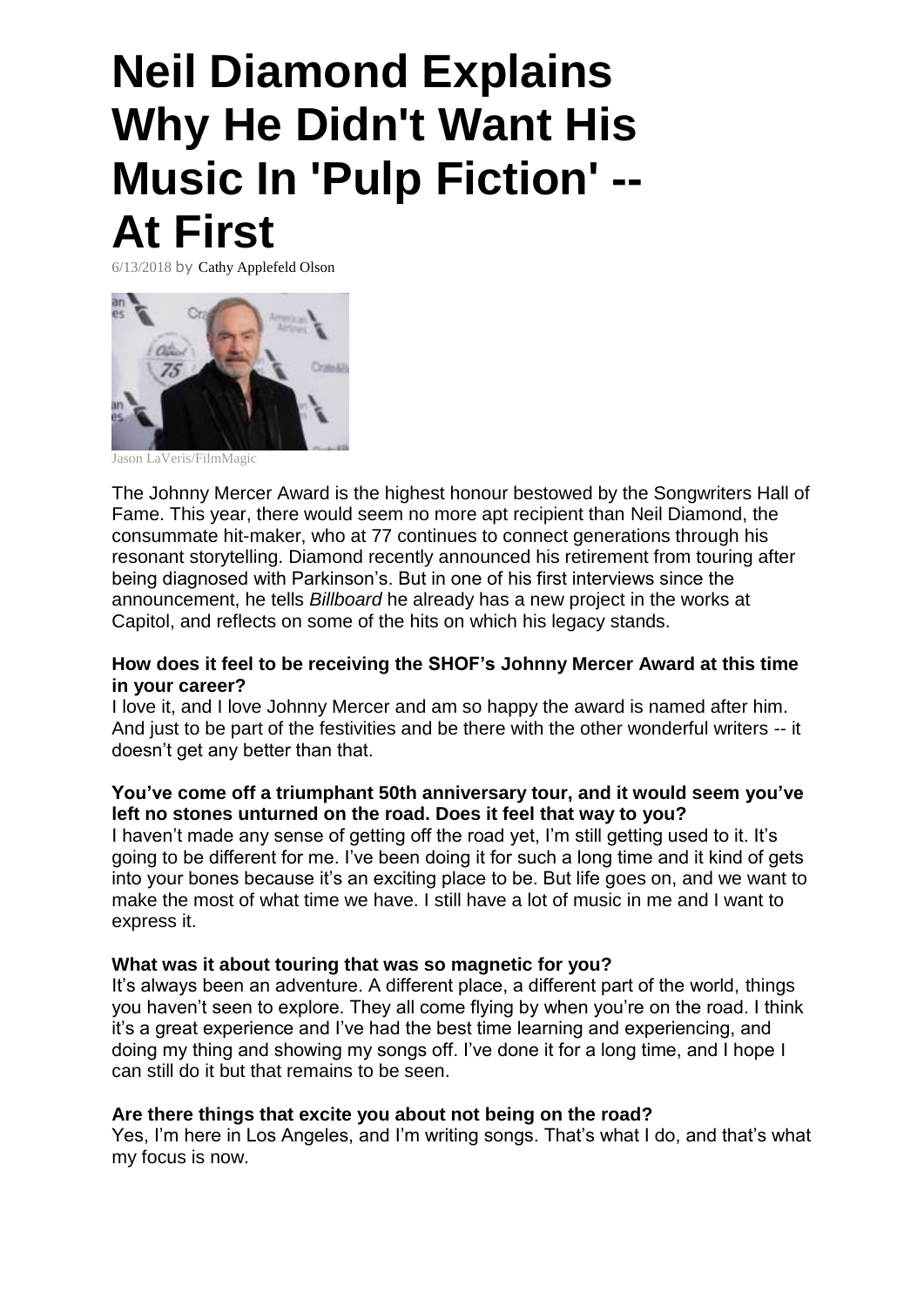# **Neil Diamond Explains Why He Didn't Want His Music In 'Pulp Fiction' -- At First**

6/13/2018 by Cathy Applefeld Olson



Jason LaVeris/FilmMagic

The Johnny Mercer Award is the highest honour bestowed by the Songwriters Hall of Fame. This year, there would seem no more apt recipient than Neil Diamond, the consummate hit-maker, who at 77 continues to connect generations through his resonant storytelling. Diamond recently announced his retirement from touring after being diagnosed with Parkinson's. But in one of his first interviews since the announcement, he tells *Billboard* he already has a new project in the works at Capitol, and reflects on some of the hits on which his legacy stands.

#### **How does it feel to be receiving the SHOF's Johnny Mercer Award at this time in your career?**

I love it, and I love Johnny Mercer and am so happy the award is named after him. And just to be part of the festivities and be there with the other wonderful writers -- it doesn't get any better than that.

# **You've come off a triumphant 50th anniversary tour, and it would seem you've left no stones unturned on the road. Does it feel that way to you?**

I haven't made any sense of getting off the road yet, I'm still getting used to it. It's going to be different for me. I've been doing it for such a long time and it kind of gets into your bones because it's an exciting place to be. But life goes on, and we want to make the most of what time we have. I still have a lot of music in me and I want to express it.

#### **What was it about touring that was so magnetic for you?**

It's always been an adventure. A different place, a different part of the world, things you haven't seen to explore. They all come flying by when you're on the road. I think it's a great experience and I've had the best time learning and experiencing, and doing my thing and showing my songs off. I've done it for a long time, and I hope I can still do it but that remains to be seen.

#### **Are there things that excite you about not being on the road?**

Yes, I'm here in Los Angeles, and I'm writing songs. That's what I do, and that's what my focus is now.